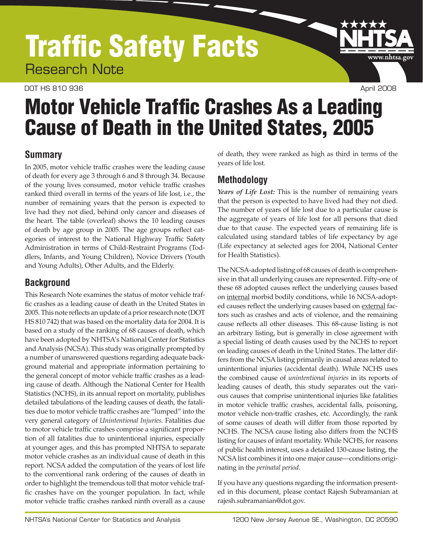## Traffic Safety Facts Research Note

#### DOT HS 810 936 April 2008

www.nhtsa.gov

# Motor Vehicle Traffic Crashes As a Leading Cause of Death in the United States, 2005

#### **Summary**

In 2005, motor vehicle traffic crashes were the leading cause of death for every age 3 through 6 and 8 through 34. Because of the young lives consumed, motor vehicle traffic crashes ranked third overall in terms of the years of life lost, i.e., the number of remaining years that the person is expected to live had they not died, behind only cancer and diseases of the heart. The table (overleaf) shows the 10 leading causes of death by age group in 2005. The age groups reflect categories of interest to the National Highway Traffic Safety Administration in terms of Child-Restraint Programs (Toddlers, Infants, and Young Children), Novice Drivers (Youth and Young Adults), Other Adults, and the Elderly.

### **Background**

This Research Note examines the status of motor vehicle traffic crashes as a leading cause of death in the United States in 2005. This note reflects an update of a prior research note (DOT HS 810 742) that was based on the mortality data for 2004. It is based on a study of the ranking of 68 causes of death, which have been adopted by NHTSA's National Center for Statistics and Analysis (NCSA). This study was originally prompted by a number of unanswered questions regarding adequate background material and appropriate information pertaining to the general concept of motor vehicle traffic crashes as a leading cause of death. Although the National Center for Health Statistics (NCHS), in its annual report on mortality, publishes detailed tabulations of the leading causes of death, the fatalities due to motor vehicle traffic crashes are "lumped" into the very general category of *Unintentional Injuries.* Fatalities due to motor vehicle traffic crashes comprise a significant proportion of all fatalities due to unintentional injuries, especially at younger ages, and this has prompted NHTSA to separate motor vehicle crashes as an individual cause of death in this report. NCSA added the computation of the years of lost life to the conventional rank ordering of the causes of death in order to highlight the tremendous toll that motor vehicle traffic crashes have on the younger population. In fact, while motor vehicle traffic crashes ranked ninth overall as a cause

of death, they were ranked as high as third in terms of the years of life lost.

### **Methodology**

*Years of Life Lost:* This is the number of remaining years that the person is expected to have lived had they not died. The number of years of life lost due to a particular cause is the aggregate of years of life lost for all persons that died due to that cause. The expected years of remaining life is calculated using standard tables of life expectancy by age (Life expectancy at selected ages for 2004, National Center for Health Statistics).

The NCSA-adopted listing of 68 causes of death is comprehensive in that all underlying causes are represented. Fifty-one of these 68 adopted causes reflect the underlying causes based on internal morbid bodily conditions, while 16 NCSA-adopted causes reflect the underlying causes based on external factors such as crashes and acts of violence, and the remaining cause reflects all other diseases. This 68-cause listing is not an arbitrary listing, but is generally in close agreement with a special listing of death causes used by the NCHS to report on leading causes of death in the United States. The latter differs from the NCSA listing primarily in causal areas related to unintentional injuries (accidental death). While NCHS uses the combined cause of *unintentional injuries* in its reports of leading causes of death, this study separates out the various causes that comprise unintentional injuries like fatalities in motor vehicle traffic crashes, accidental falls, poisoning, motor vehicle non-traffic crashes, etc. Accordingly, the rank of some causes of death will differ from those reported by NCHS. The NCSA cause listing also differs from the NCHS listing for causes of infant mortality. While NCHS, for reasons of public health interest, uses a detailed 130-cause listing, the NCSA list combines it into one major cause—conditions originating in the *perinatal period.*

If you have any questions regarding the information presented in this document, please contact Rajesh Subramanian at rajesh.subramanian@dot.gov.